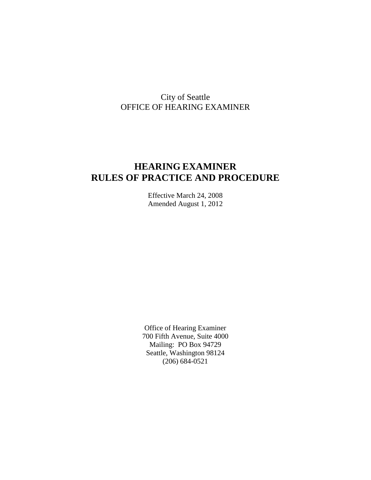# City of Seattle OFFICE OF HEARING EXAMINER

# **HEARING EXAMINER RULES OF PRACTICE AND PROCEDURE**

Effective March 24, 2008 Amended August 1, 2012

Office of Hearing Examiner 700 Fifth Avenue, Suite 4000 Mailing: PO Box 94729 Seattle, Washington 98124 (206) 684-0521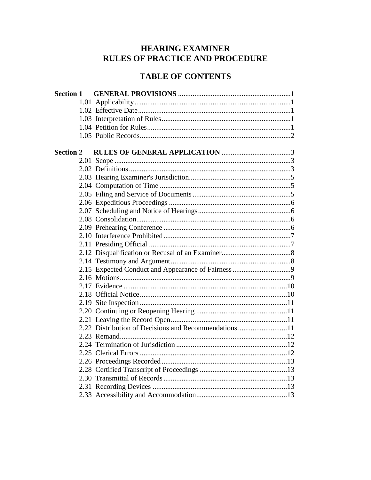# **HEARING EXAMINER RULES OF PRACTICE AND PROCEDURE**

# **TABLE OF CONTENTS**

| <b>Section 2</b> |                                                      |
|------------------|------------------------------------------------------|
|                  |                                                      |
|                  |                                                      |
|                  |                                                      |
|                  |                                                      |
|                  |                                                      |
|                  |                                                      |
|                  |                                                      |
|                  |                                                      |
|                  |                                                      |
|                  |                                                      |
|                  |                                                      |
|                  |                                                      |
|                  |                                                      |
|                  |                                                      |
|                  |                                                      |
|                  |                                                      |
|                  |                                                      |
|                  |                                                      |
|                  |                                                      |
|                  |                                                      |
|                  | 2.22 Distribution of Decisions and Recommendations11 |
|                  |                                                      |
|                  |                                                      |
|                  |                                                      |
|                  |                                                      |
|                  |                                                      |
|                  |                                                      |
|                  |                                                      |
|                  |                                                      |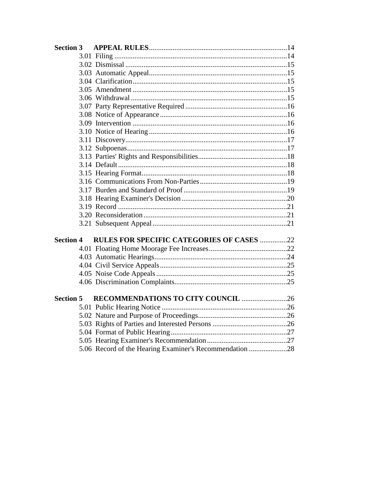| <b>Section 4</b> | <b>RULES FOR SPECIFIC CATEGORIES OF CASES 22</b>        |  |
|------------------|---------------------------------------------------------|--|
|                  |                                                         |  |
|                  |                                                         |  |
|                  |                                                         |  |
|                  |                                                         |  |
|                  |                                                         |  |
| <b>Section 5</b> | RECOMMENDATIONS TO CITY COUNCIL 26                      |  |
|                  |                                                         |  |
|                  |                                                         |  |
|                  |                                                         |  |
|                  |                                                         |  |
|                  |                                                         |  |
|                  | 5.06 Record of the Hearing Examiner's Recommendation 28 |  |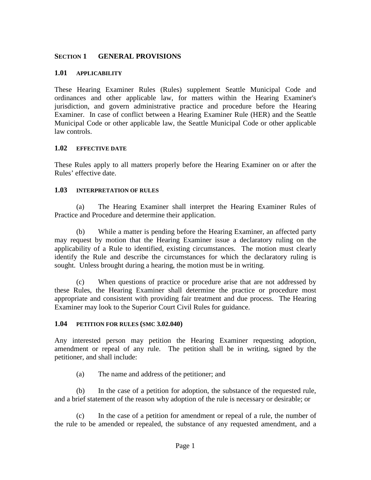### **SECTION 1 GENERAL PROVISIONS**

#### **1.01 APPLICABILITY**

These Hearing Examiner Rules (Rules) supplement Seattle Municipal Code and ordinances and other applicable law, for matters within the Hearing Examiner's jurisdiction, and govern administrative practice and procedure before the Hearing Examiner. In case of conflict between a Hearing Examiner Rule (HER) and the Seattle Municipal Code or other applicable law, the Seattle Municipal Code or other applicable law controls.

#### **1.02 EFFECTIVE DATE**

These Rules apply to all matters properly before the Hearing Examiner on or after the Rules' effective date.

#### **1.03 INTERPRETATION OF RULES**

(a) The Hearing Examiner shall interpret the Hearing Examiner Rules of Practice and Procedure and determine their application.

(b) While a matter is pending before the Hearing Examiner, an affected party may request by motion that the Hearing Examiner issue a declaratory ruling on the applicability of a Rule to identified, existing circumstances. The motion must clearly identify the Rule and describe the circumstances for which the declaratory ruling is sought. Unless brought during a hearing, the motion must be in writing.

(c) When questions of practice or procedure arise that are not addressed by these Rules, the Hearing Examiner shall determine the practice or procedure most appropriate and consistent with providing fair treatment and due process. The Hearing Examiner may look to the Superior Court Civil Rules for guidance.

#### **1.04 PETITION FOR RULES (SMC 3.02.040)**

Any interested person may petition the Hearing Examiner requesting adoption, amendment or repeal of any rule. The petition shall be in writing, signed by the petitioner, and shall include:

(a) The name and address of the petitioner; and

(b) In the case of a petition for adoption, the substance of the requested rule, and a brief statement of the reason why adoption of the rule is necessary or desirable; or

(c) In the case of a petition for amendment or repeal of a rule, the number of the rule to be amended or repealed, the substance of any requested amendment, and a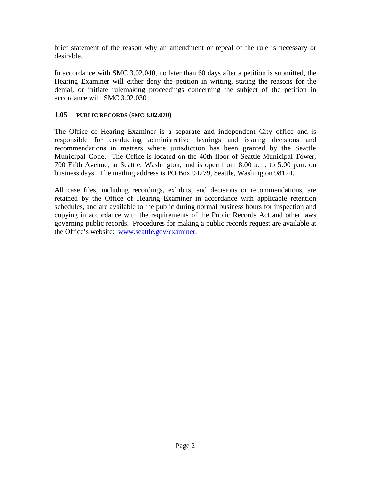brief statement of the reason why an amendment or repeal of the rule is necessary or desirable.

In accordance with SMC 3.02.040, no later than 60 days after a petition is submitted, the Hearing Examiner will either deny the petition in writing, stating the reasons for the denial, or initiate rulemaking proceedings concerning the subject of the petition in accordance with SMC 3.02.030.

## **1.05 PUBLIC RECORDS (SMC 3.02.070)**

The Office of Hearing Examiner is a separate and independent City office and is responsible for conducting administrative hearings and issuing decisions and recommendations in matters where jurisdiction has been granted by the Seattle Municipal Code. The Office is located on the 40th floor of Seattle Municipal Tower, 700 Fifth Avenue, in Seattle, Washington, and is open from 8:00 a.m. to 5:00 p.m. on business days. The mailing address is PO Box 94279, Seattle, Washington 98124.

All case files, including recordings, exhibits, and decisions or recommendations, are retained by the Office of Hearing Examiner in accordance with applicable retention schedules, and are available to the public during normal business hours for inspection and copying in accordance with the requirements of the Public Records Act and other laws governing public records. Procedures for making a public records request are available at the Office's website: [www.seattle.gov/examiner.](http://www.seattle.gov/examiner)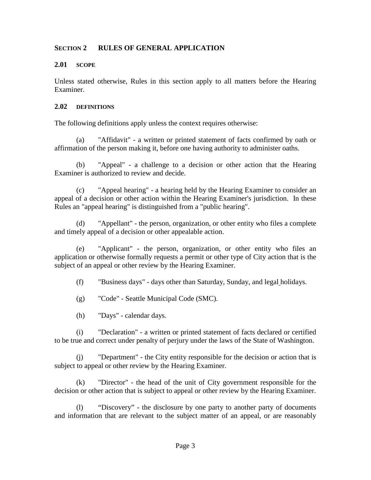### **SECTION 2 RULES OF GENERAL APPLICATION**

#### **2.01 SCOPE**

Unless stated otherwise, Rules in this section apply to all matters before the Hearing Examiner.

#### **2.02 DEFINITIONS**

The following definitions apply unless the context requires otherwise:

(a) "Affidavit" - a written or printed statement of facts confirmed by oath or affirmation of the person making it, before one having authority to administer oaths.

(b) "Appeal" - a challenge to a decision or other action that the Hearing Examiner is authorized to review and decide.

(c) "Appeal hearing" - a hearing held by the Hearing Examiner to consider an appeal of a decision or other action within the Hearing Examiner's jurisdiction. In these Rules an "appeal hearing" is distinguished from a "public hearing".

(d) "Appellant" - the person, organization, or other entity who files a complete and timely appeal of a decision or other appealable action.

(e) "Applicant" - the person, organization, or other entity who files an application or otherwise formally requests a permit or other type of City action that is the subject of an appeal or other review by the Hearing Examiner.

(f) "Business days" - days other than Saturday, Sunday, and legal holidays.

- (g) "Code" Seattle Municipal Code (SMC).
- (h) "Days" calendar days.

(i) "Declaration" - a written or printed statement of facts declared or certified to be true and correct under penalty of perjury under the laws of the State of Washington.

(j) "Department" - the City entity responsible for the decision or action that is subject to appeal or other review by the Hearing Examiner.

(k) "Director" - the head of the unit of City government responsible for the decision or other action that is subject to appeal or other review by the Hearing Examiner.

(l) "Discovery" - the disclosure by one party to another party of documents and information that are relevant to the subject matter of an appeal, or are reasonably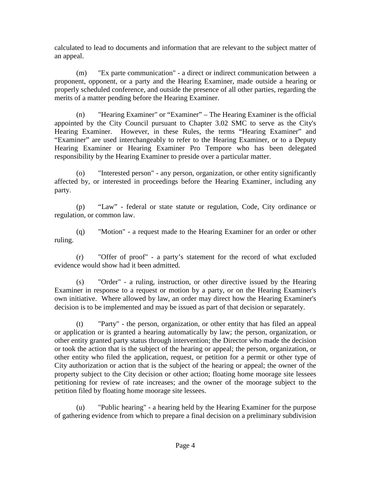calculated to lead to documents and information that are relevant to the subject matter of an appeal.

(m) "Ex parte communication" - a direct or indirect communication between a proponent, opponent, or a party and the Hearing Examiner, made outside a hearing or properly scheduled conference, and outside the presence of all other parties, regarding the merits of a matter pending before the Hearing Examiner.

(n) "Hearing Examiner" or "Examiner" – The Hearing Examiner is the official appointed by the City Council pursuant to Chapter 3.02 SMC to serve as the City's Hearing Examiner. However, in these Rules, the terms "Hearing Examiner" and "Examiner" are used interchangeably to refer to the Hearing Examiner, or to a Deputy Hearing Examiner or Hearing Examiner Pro Tempore who has been delegated responsibility by the Hearing Examiner to preside over a particular matter.

(o) "Interested person" - any person, organization, or other entity significantly affected by, or interested in proceedings before the Hearing Examiner, including any party.

(p) "Law" - federal or state statute or regulation, Code, City ordinance or regulation, or common law.

(q) "Motion" - a request made to the Hearing Examiner for an order or other ruling.

(r) "Offer of proof" - a party's statement for the record of what excluded evidence would show had it been admitted.

(s) "Order" - a ruling, instruction, or other directive issued by the Hearing Examiner in response to a request or motion by a party, or on the Hearing Examiner's own initiative. Where allowed by law, an order may direct how the Hearing Examiner's decision is to be implemented and may be issued as part of that decision or separately.

(t) "Party" - the person, organization, or other entity that has filed an appeal or application or is granted a hearing automatically by law; the person, organization, or other entity granted party status through intervention; the Director who made the decision or took the action that is the subject of the hearing or appeal; the person, organization, or other entity who filed the application, request, or petition for a permit or other type of City authorization or action that is the subject of the hearing or appeal; the owner of the property subject to the City decision or other action; floating home moorage site lessees petitioning for review of rate increases; and the owner of the moorage subject to the petition filed by floating home moorage site lessees.

(u) "Public hearing" - a hearing held by the Hearing Examiner for the purpose of gathering evidence from which to prepare a final decision on a preliminary subdivision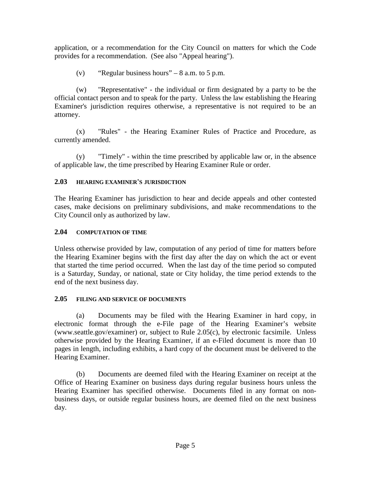application, or a recommendation for the City Council on matters for which the Code provides for a recommendation. (See also "Appeal hearing").

(v) "Regular business hours" –  $8$  a.m. to  $5$  p.m.

(w) "Representative" - the individual or firm designated by a party to be the official contact person and to speak for the party. Unless the law establishing the Hearing Examiner's jurisdiction requires otherwise, a representative is not required to be an attorney.

(x) "Rules" - the Hearing Examiner Rules of Practice and Procedure, as currently amended.

(y) "Timely" - within the time prescribed by applicable law or, in the absence of applicable law, the time prescribed by Hearing Examiner Rule or order.

# **2.03 HEARING EXAMINER'S JURISDICTION**

The Hearing Examiner has jurisdiction to hear and decide appeals and other contested cases, make decisions on preliminary subdivisions, and make recommendations to the City Council only as authorized by law.

# **2.04 COMPUTATION OF TIME**

Unless otherwise provided by law, computation of any period of time for matters before the Hearing Examiner begins with the first day after the day on which the act or event that started the time period occurred. When the last day of the time period so computed is a Saturday, Sunday, or national, state or City holiday, the time period extends to the end of the next business day.

# **2.05 FILING AND SERVICE OF DOCUMENTS**

(a) Documents may be filed with the Hearing Examiner in hard copy, in electronic format through the e-File page of the Hearing Examiner's website (www.seattle.gov/examiner) or, subject to Rule 2.05(c), by electronic facsimile. Unless otherwise provided by the Hearing Examiner, if an e-Filed document is more than 10 pages in length, including exhibits, a hard copy of the document must be delivered to the Hearing Examiner.

(b) Documents are deemed filed with the Hearing Examiner on receipt at the Office of Hearing Examiner on business days during regular business hours unless the Hearing Examiner has specified otherwise. Documents filed in any format on nonbusiness days, or outside regular business hours, are deemed filed on the next business day.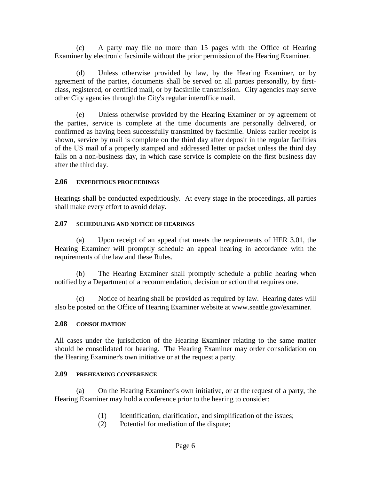(c) A party may file no more than 15 pages with the Office of Hearing Examiner by electronic facsimile without the prior permission of the Hearing Examiner.

(d) Unless otherwise provided by law, by the Hearing Examiner, or by agreement of the parties, documents shall be served on all parties personally, by firstclass, registered, or certified mail, or by facsimile transmission. City agencies may serve other City agencies through the City's regular interoffice mail.

(e) Unless otherwise provided by the Hearing Examiner or by agreement of the parties, service is complete at the time documents are personally delivered, or confirmed as having been successfully transmitted by facsimile. Unless earlier receipt is shown, service by mail is complete on the third day after deposit in the regular facilities of the US mail of a properly stamped and addressed letter or packet unless the third day falls on a non-business day, in which case service is complete on the first business day after the third day.

## **2.06 EXPEDITIOUS PROCEEDINGS**

Hearings shall be conducted expeditiously. At every stage in the proceedings, all parties shall make every effort to avoid delay.

#### **2.07 SCHEDULING AND NOTICE OF HEARINGS**

(a) Upon receipt of an appeal that meets the requirements of HER 3.01, the Hearing Examiner will promptly schedule an appeal hearing in accordance with the requirements of the law and these Rules.

(b) The Hearing Examiner shall promptly schedule a public hearing when notified by a Department of a recommendation, decision or action that requires one.

(c) Notice of hearing shall be provided as required by law. Hearing dates will also be posted on the Office of Hearing Examiner website at www.seattle.gov/examiner.

## **2.08 CONSOLIDATION**

All cases under the jurisdiction of the Hearing Examiner relating to the same matter should be consolidated for hearing. The Hearing Examiner may order consolidation on the Hearing Examiner's own initiative or at the request a party.

#### **2.09 PREHEARING CONFERENCE**

(a) On the Hearing Examiner's own initiative, or at the request of a party, the Hearing Examiner may hold a conference prior to the hearing to consider:

- (1) Identification, clarification, and simplification of the issues;
- (2) Potential for mediation of the dispute;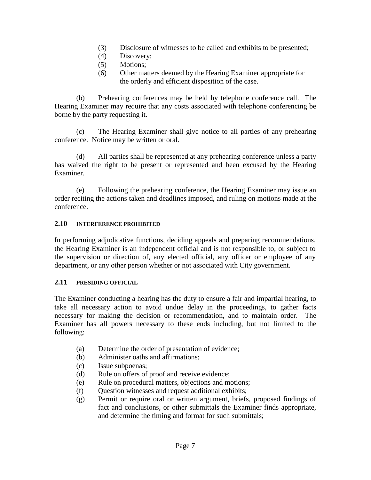- (3) Disclosure of witnesses to be called and exhibits to be presented;
- (4) Discovery;
- (5) Motions;
- (6) Other matters deemed by the Hearing Examiner appropriate for the orderly and efficient disposition of the case.

(b) Prehearing conferences may be held by telephone conference call. The Hearing Examiner may require that any costs associated with telephone conferencing be borne by the party requesting it.

(c) The Hearing Examiner shall give notice to all parties of any prehearing conference. Notice may be written or oral.

(d) All parties shall be represented at any prehearing conference unless a party has waived the right to be present or represented and been excused by the Hearing Examiner.

(e) Following the prehearing conference, the Hearing Examiner may issue an order reciting the actions taken and deadlines imposed, and ruling on motions made at the conference.

# **2.10 INTERFERENCE PROHIBITED**

In performing adjudicative functions, deciding appeals and preparing recommendations, the Hearing Examiner is an independent official and is not responsible to, or subject to the supervision or direction of, any elected official, any officer or employee of any department, or any other person whether or not associated with City government.

#### **2.11 PRESIDING OFFICIAL**

The Examiner conducting a hearing has the duty to ensure a fair and impartial hearing, to take all necessary action to avoid undue delay in the proceedings, to gather facts necessary for making the decision or recommendation, and to maintain order. The Examiner has all powers necessary to these ends including, but not limited to the following:

- (a) Determine the order of presentation of evidence;
- (b) Administer oaths and affirmations;
- (c) Issue subpoenas;
- (d) Rule on offers of proof and receive evidence;
- (e) Rule on procedural matters, objections and motions;
- (f) Question witnesses and request additional exhibits;
- (g) Permit or require oral or written argument, briefs, proposed findings of fact and conclusions, or other submittals the Examiner finds appropriate, and determine the timing and format for such submittals;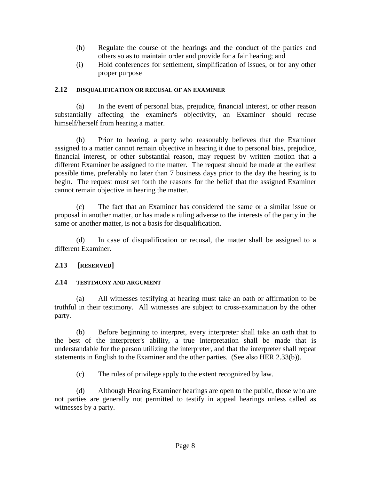- (h) Regulate the course of the hearings and the conduct of the parties and others so as to maintain order and provide for a fair hearing; and
- (i) Hold conferences for settlement, simplification of issues, or for any other proper purpose

#### **2.12 DISQUALIFICATION OR RECUSAL OF AN EXAMINER**

(a) In the event of personal bias, prejudice, financial interest, or other reason substantially affecting the examiner's objectivity, an Examiner should recuse himself/herself from hearing a matter.

(b) Prior to hearing, a party who reasonably believes that the Examiner assigned to a matter cannot remain objective in hearing it due to personal bias, prejudice, financial interest, or other substantial reason, may request by written motion that a different Examiner be assigned to the matter. The request should be made at the earliest possible time, preferably no later than 7 business days prior to the day the hearing is to begin. The request must set forth the reasons for the belief that the assigned Examiner cannot remain objective in hearing the matter.

(c) The fact that an Examiner has considered the same or a similar issue or proposal in another matter, or has made a ruling adverse to the interests of the party in the same or another matter, is not a basis for disqualification.

(d) In case of disqualification or recusal, the matter shall be assigned to a different Examiner.

## **2.13 [RESERVED]**

#### **2.14 TESTIMONY AND ARGUMENT**

(a) All witnesses testifying at hearing must take an oath or affirmation to be truthful in their testimony. All witnesses are subject to cross-examination by the other party.

(b) Before beginning to interpret, every interpreter shall take an oath that to the best of the interpreter's ability, a true interpretation shall be made that is understandable for the person utilizing the interpreter, and that the interpreter shall repeat statements in English to the Examiner and the other parties. (See also HER 2.33(b)).

(c) The rules of privilege apply to the extent recognized by law.

(d) Although Hearing Examiner hearings are open to the public, those who are not parties are generally not permitted to testify in appeal hearings unless called as witnesses by a party.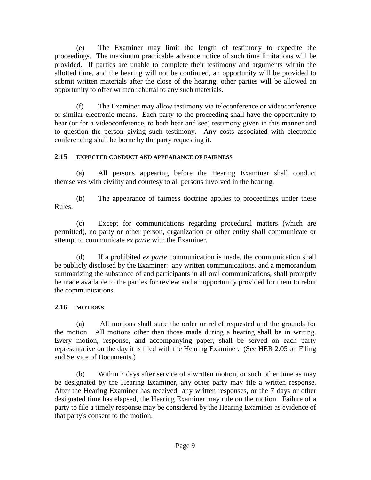(e) The Examiner may limit the length of testimony to expedite the proceedings. The maximum practicable advance notice of such time limitations will be provided. If parties are unable to complete their testimony and arguments within the allotted time, and the hearing will not be continued, an opportunity will be provided to submit written materials after the close of the hearing; other parties will be allowed an opportunity to offer written rebuttal to any such materials.

(f) The Examiner may allow testimony via teleconference or videoconference or similar electronic means. Each party to the proceeding shall have the opportunity to hear (or for a videoconference, to both hear and see) testimony given in this manner and to question the person giving such testimony. Any costs associated with electronic conferencing shall be borne by the party requesting it.

# **2.15 EXPECTED CONDUCT AND APPEARANCE OF FAIRNESS**

(a) All persons appearing before the Hearing Examiner shall conduct themselves with civility and courtesy to all persons involved in the hearing.

(b) The appearance of fairness doctrine applies to proceedings under these Rules.

(c) Except for communications regarding procedural matters (which are permitted), no party or other person, organization or other entity shall communicate or attempt to communicate *ex parte* with the Examiner.

(d) If a prohibited *ex parte* communication is made, the communication shall be publicly disclosed by the Examiner: any written communications, and a memorandum summarizing the substance of and participants in all oral communications, shall promptly be made available to the parties for review and an opportunity provided for them to rebut the communications.

# **2.16 MOTIONS**

(a) All motions shall state the order or relief requested and the grounds for the motion. All motions other than those made during a hearing shall be in writing. Every motion, response, and accompanying paper, shall be served on each party representative on the day it is filed with the Hearing Examiner. (See HER 2.05 on Filing and Service of Documents.)

(b) Within 7 days after service of a written motion, or such other time as may be designated by the Hearing Examiner, any other party may file a written response. After the Hearing Examiner has received any written responses, or the 7 days or other designated time has elapsed, the Hearing Examiner may rule on the motion. Failure of a party to file a timely response may be considered by the Hearing Examiner as evidence of that party's consent to the motion.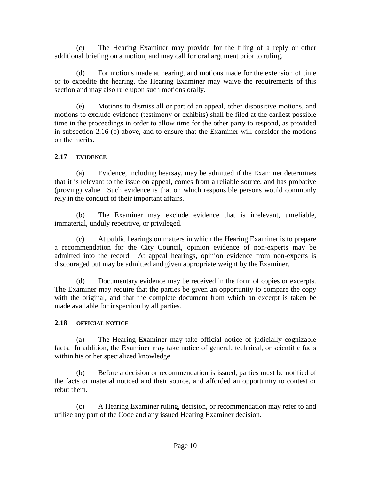(c) The Hearing Examiner may provide for the filing of a reply or other additional briefing on a motion, and may call for oral argument prior to ruling.

(d) For motions made at hearing, and motions made for the extension of time or to expedite the hearing, the Hearing Examiner may waive the requirements of this section and may also rule upon such motions orally.

(e) Motions to dismiss all or part of an appeal, other dispositive motions, and motions to exclude evidence (testimony or exhibits) shall be filed at the earliest possible time in the proceedings in order to allow time for the other party to respond, as provided in subsection 2.16 (b) above, and to ensure that the Examiner will consider the motions on the merits.

# **2.17 EVIDENCE**

(a) Evidence, including hearsay, may be admitted if the Examiner determines that it is relevant to the issue on appeal, comes from a reliable source, and has probative (proving) value. Such evidence is that on which responsible persons would commonly rely in the conduct of their important affairs.

(b) The Examiner may exclude evidence that is irrelevant, unreliable, immaterial, unduly repetitive, or privileged.

(c) At public hearings on matters in which the Hearing Examiner is to prepare a recommendation for the City Council, opinion evidence of non-experts may be admitted into the record. At appeal hearings, opinion evidence from non-experts is discouraged but may be admitted and given appropriate weight by the Examiner.

(d) Documentary evidence may be received in the form of copies or excerpts. The Examiner may require that the parties be given an opportunity to compare the copy with the original, and that the complete document from which an excerpt is taken be made available for inspection by all parties.

# **2.18 OFFICIAL NOTICE**

(a) The Hearing Examiner may take official notice of judicially cognizable facts. In addition, the Examiner may take notice of general, technical, or scientific facts within his or her specialized knowledge.

(b) Before a decision or recommendation is issued, parties must be notified of the facts or material noticed and their source, and afforded an opportunity to contest or rebut them.

(c) A Hearing Examiner ruling, decision, or recommendation may refer to and utilize any part of the Code and any issued Hearing Examiner decision.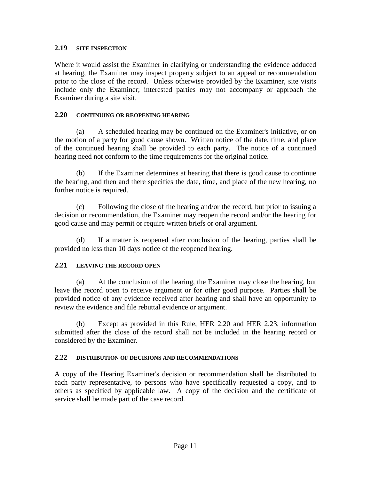#### **2.19 SITE INSPECTION**

Where it would assist the Examiner in clarifying or understanding the evidence adduced at hearing, the Examiner may inspect property subject to an appeal or recommendation prior to the close of the record. Unless otherwise provided by the Examiner, site visits include only the Examiner; interested parties may not accompany or approach the Examiner during a site visit.

# **2.20 CONTINUING OR REOPENING HEARING**

(a) A scheduled hearing may be continued on the Examiner's initiative, or on the motion of a party for good cause shown. Written notice of the date, time, and place of the continued hearing shall be provided to each party. The notice of a continued hearing need not conform to the time requirements for the original notice.

(b) If the Examiner determines at hearing that there is good cause to continue the hearing, and then and there specifies the date, time, and place of the new hearing, no further notice is required.

(c) Following the close of the hearing and/or the record, but prior to issuing a decision or recommendation, the Examiner may reopen the record and/or the hearing for good cause and may permit or require written briefs or oral argument.

(d) If a matter is reopened after conclusion of the hearing, parties shall be provided no less than 10 days notice of the reopened hearing.

## **2.21 LEAVING THE RECORD OPEN**

(a) At the conclusion of the hearing, the Examiner may close the hearing, but leave the record open to receive argument or for other good purpose. Parties shall be provided notice of any evidence received after hearing and shall have an opportunity to review the evidence and file rebuttal evidence or argument.

(b) Except as provided in this Rule, HER 2.20 and HER 2.23, information submitted after the close of the record shall not be included in the hearing record or considered by the Examiner.

#### **2.22 DISTRIBUTION OF DECISIONS AND RECOMMENDATIONS**

A copy of the Hearing Examiner's decision or recommendation shall be distributed to each party representative, to persons who have specifically requested a copy, and to others as specified by applicable law. A copy of the decision and the certificate of service shall be made part of the case record.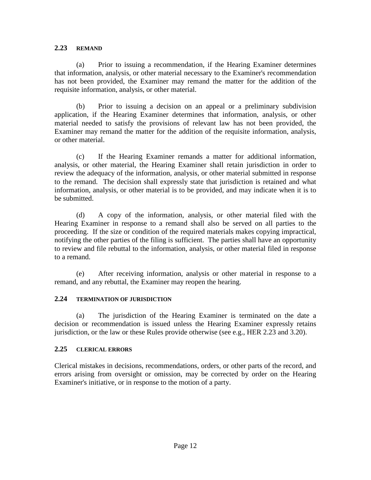#### **2.23 REMAND**

(a) Prior to issuing a recommendation, if the Hearing Examiner determines that information, analysis, or other material necessary to the Examiner's recommendation has not been provided, the Examiner may remand the matter for the addition of the requisite information, analysis, or other material.

(b) Prior to issuing a decision on an appeal or a preliminary subdivision application, if the Hearing Examiner determines that information, analysis, or other material needed to satisfy the provisions of relevant law has not been provided, the Examiner may remand the matter for the addition of the requisite information, analysis, or other material.

(c) If the Hearing Examiner remands a matter for additional information, analysis, or other material, the Hearing Examiner shall retain jurisdiction in order to review the adequacy of the information, analysis, or other material submitted in response to the remand. The decision shall expressly state that jurisdiction is retained and what information, analysis, or other material is to be provided, and may indicate when it is to be submitted.

(d) A copy of the information, analysis, or other material filed with the Hearing Examiner in response to a remand shall also be served on all parties to the proceeding. If the size or condition of the required materials makes copying impractical, notifying the other parties of the filing is sufficient. The parties shall have an opportunity to review and file rebuttal to the information, analysis, or other material filed in response to a remand.

(e) After receiving information, analysis or other material in response to a remand, and any rebuttal, the Examiner may reopen the hearing.

## **2.24 TERMINATION OF JURISDICTION**

(a) The jurisdiction of the Hearing Examiner is terminated on the date a decision or recommendation is issued unless the Hearing Examiner expressly retains jurisdiction, or the law or these Rules provide otherwise (see e.g., HER 2.23 and 3.20).

## **2.25 CLERICAL ERRORS**

Clerical mistakes in decisions, recommendations, orders, or other parts of the record, and errors arising from oversight or omission, may be corrected by order on the Hearing Examiner's initiative, or in response to the motion of a party.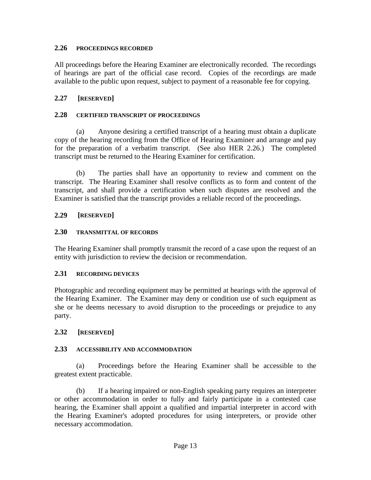### **2.26 PROCEEDINGS RECORDED**

All proceedings before the Hearing Examiner are electronically recorded. The recordings of hearings are part of the official case record. Copies of the recordings are made available to the public upon request, subject to payment of a reasonable fee for copying.

# **2.27 [RESERVED]**

## **2.28 CERTIFIED TRANSCRIPT OF PROCEEDINGS**

(a) Anyone desiring a certified transcript of a hearing must obtain a duplicate copy of the hearing recording from the Office of Hearing Examiner and arrange and pay for the preparation of a verbatim transcript. (See also HER 2.26.) The completed transcript must be returned to the Hearing Examiner for certification.

(b) The parties shall have an opportunity to review and comment on the transcript. The Hearing Examiner shall resolve conflicts as to form and content of the transcript, and shall provide a certification when such disputes are resolved and the Examiner is satisfied that the transcript provides a reliable record of the proceedings.

# **2.29 [RESERVED]**

## **2.30 TRANSMITTAL OF RECORDS**

The Hearing Examiner shall promptly transmit the record of a case upon the request of an entity with jurisdiction to review the decision or recommendation.

## **2.31 RECORDING DEVICES**

Photographic and recording equipment may be permitted at hearings with the approval of the Hearing Examiner. The Examiner may deny or condition use of such equipment as she or he deems necessary to avoid disruption to the proceedings or prejudice to any party.

# **2.32 [RESERVED]**

## **2.33 ACCESSIBILITY AND ACCOMMODATION**

(a) Proceedings before the Hearing Examiner shall be accessible to the greatest extent practicable.

(b) If a hearing impaired or non-English speaking party requires an interpreter or other accommodation in order to fully and fairly participate in a contested case hearing, the Examiner shall appoint a qualified and impartial interpreter in accord with the Hearing Examiner's adopted procedures for using interpreters, or provide other necessary accommodation.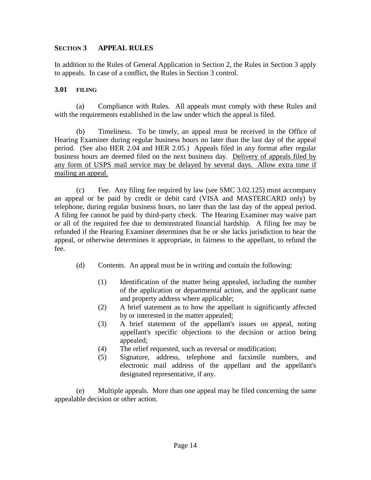### **SECTION 3 APPEAL RULES**

In addition to the Rules of General Application in Section 2, the Rules in Section 3 apply to appeals. In case of a conflict, the Rules in Section 3 control.

#### **3.01 FILING**

(a) Compliance with Rules. All appeals must comply with these Rules and with the requirements established in the law under which the appeal is filed.

(b) Timeliness. To be timely, an appeal must be received in the Office of Hearing Examiner during regular business hours no later than the last day of the appeal period. (See also HER 2.04 and HER 2.05.) Appeals filed in any format after regular business hours are deemed filed on the next business day. Delivery of appeals filed by any form of USPS mail service may be delayed by several days. Allow extra time if mailing an appeal.

(c) Fee. Any filing fee required by law (see SMC 3.02.125) must accompany an appeal or be paid by credit or debit card (VISA and MASTERCARD only) by telephone, during regular business hours, no later than the last day of the appeal period. A filing fee cannot be paid by third-party check. The Hearing Examiner may waive part or all of the required fee due to demonstrated financial hardship. A filing fee may be refunded if the Hearing Examiner determines that he or she lacks jurisdiction to hear the appeal, or otherwise determines it appropriate, in fairness to the appellant, to refund the fee.

- (d) Contents. An appeal must be in writing and contain the following:
	- (1) Identification of the matter being appealed, including the number of the application or departmental action, and the applicant name and property address where applicable;
	- (2) A brief statement as to how the appellant is significantly affected by or interested in the matter appealed;
	- (3) A brief statement of the appellant's issues on appeal, noting appellant's specific objections to the decision or action being appealed;
	- (4) The relief requested, such as reversal or modification;
	- (5) Signature, address, telephone and facsimile numbers, and electronic mail address of the appellant and the appellant's designated representative, if any.

(e) Multiple appeals. More than one appeal may be filed concerning the same appealable decision or other action.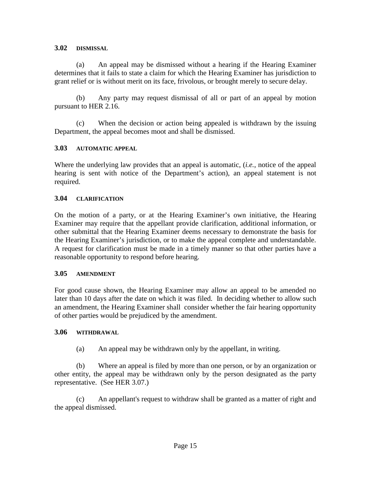### **3.02 DISMISSAL**

(a) An appeal may be dismissed without a hearing if the Hearing Examiner determines that it fails to state a claim for which the Hearing Examiner has jurisdiction to grant relief or is without merit on its face, frivolous, or brought merely to secure delay.

(b) Any party may request dismissal of all or part of an appeal by motion pursuant to HER 2.16.

(c) When the decision or action being appealed is withdrawn by the issuing Department, the appeal becomes moot and shall be dismissed.

#### **3.03 AUTOMATIC APPEAL**

Where the underlying law provides that an appeal is automatic, (*i.e.*, notice of the appeal hearing is sent with notice of the Department's action), an appeal statement is not required.

#### **3.04 CLARIFICATION**

On the motion of a party, or at the Hearing Examiner's own initiative, the Hearing Examiner may require that the appellant provide clarification, additional information, or other submittal that the Hearing Examiner deems necessary to demonstrate the basis for the Hearing Examiner's jurisdiction, or to make the appeal complete and understandable. A request for clarification must be made in a timely manner so that other parties have a reasonable opportunity to respond before hearing.

#### **3.05 AMENDMENT**

For good cause shown, the Hearing Examiner may allow an appeal to be amended no later than 10 days after the date on which it was filed. In deciding whether to allow such an amendment, the Hearing Examiner shall consider whether the fair hearing opportunity of other parties would be prejudiced by the amendment.

#### **3.06 WITHDRAWAL**

(a) An appeal may be withdrawn only by the appellant, in writing.

(b) Where an appeal is filed by more than one person, or by an organization or other entity, the appeal may be withdrawn only by the person designated as the party representative. (See HER 3.07.)

(c) An appellant's request to withdraw shall be granted as a matter of right and the appeal dismissed.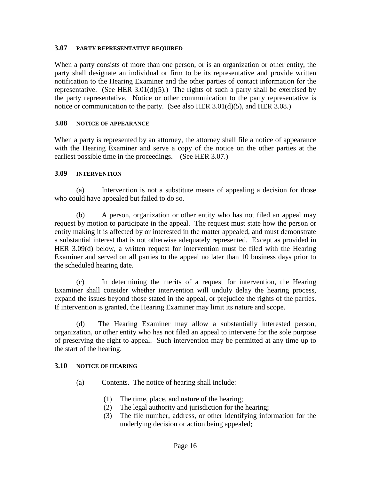#### **3.07 PARTY REPRESENTATIVE REQUIRED**

When a party consists of more than one person, or is an organization or other entity, the party shall designate an individual or firm to be its representative and provide written notification to the Hearing Examiner and the other parties of contact information for the representative. (See HER  $3.01(d)(5)$ .) The rights of such a party shall be exercised by the party representative. Notice or other communication to the party representative is notice or communication to the party. (See also HER 3.01(d)(5), and HER 3.08.)

#### **3.08 NOTICE OF APPEARANCE**

When a party is represented by an attorney, the attorney shall file a notice of appearance with the Hearing Examiner and serve a copy of the notice on the other parties at the earliest possible time in the proceedings. (See HER 3.07.)

#### **3.09 INTERVENTION**

(a) Intervention is not a substitute means of appealing a decision for those who could have appealed but failed to do so.

(b) A person, organization or other entity who has not filed an appeal may request by motion to participate in the appeal. The request must state how the person or entity making it is affected by or interested in the matter appealed, and must demonstrate a substantial interest that is not otherwise adequately represented. Except as provided in HER 3.09(d) below, a written request for intervention must be filed with the Hearing Examiner and served on all parties to the appeal no later than 10 business days prior to the scheduled hearing date.

(c) In determining the merits of a request for intervention, the Hearing Examiner shall consider whether intervention will unduly delay the hearing process, expand the issues beyond those stated in the appeal, or prejudice the rights of the parties. If intervention is granted, the Hearing Examiner may limit its nature and scope.

(d) The Hearing Examiner may allow a substantially interested person, organization, or other entity who has not filed an appeal to intervene for the sole purpose of preserving the right to appeal. Such intervention may be permitted at any time up to the start of the hearing.

#### **3.10 NOTICE OF HEARING**

- (a) Contents. The notice of hearing shall include:
	- (1) The time, place, and nature of the hearing;
	- (2) The legal authority and jurisdiction for the hearing;
	- (3) The file number, address, or other identifying information for the underlying decision or action being appealed;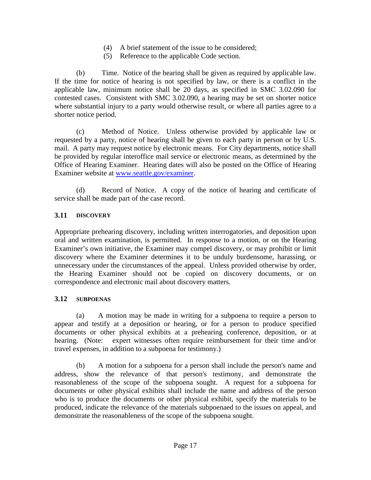- (4) A brief statement of the issue to be considered;
- (5) Reference to the applicable Code section.

(b) Time. Notice of the hearing shall be given as required by applicable law. If the time for notice of hearing is not specified by law, or there is a conflict in the applicable law, minimum notice shall be 20 days, as specified in SMC 3.02.090 for contested cases. Consistent with SMC 3.02.090, a hearing may be set on shorter notice where substantial injury to a party would otherwise result, or where all parties agree to a shorter notice period.

(c) Method of Notice. Unless otherwise provided by applicable law or requested by a party, notice of hearing shall be given to each party in person or by U.S. mail. A party may request notice by electronic means. For City departments, notice shall be provided by regular interoffice mail service or electronic means, as determined by the Office of Hearing Examiner. Hearing dates will also be posted on the Office of Hearing Examiner website at [www.seattle.gov/examiner.](http://www.seattle.gov/examiner)

(d) Record of Notice. A copy of the notice of hearing and certificate of service shall be made part of the case record.

# **3.11 DISCOVERY**

Appropriate prehearing discovery, including written interrogatories, and deposition upon oral and written examination, is permitted. In response to a motion, or on the Hearing Examiner's own initiative, the Examiner may compel discovery, or may prohibit or limit discovery where the Examiner determines it to be unduly burdensome, harassing, or unnecessary under the circumstances of the appeal. Unless provided otherwise by order, the Hearing Examiner should not be copied on discovery documents, or on correspondence and electronic mail about discovery matters.

## **3.12 SUBPOENAS**

(a) A motion may be made in writing for a subpoena to require a person to appear and testify at a deposition or hearing, or for a person to produce specified documents or other physical exhibits at a prehearing conference, deposition, or at hearing. (Note: expert witnesses often require reimbursement for their time and/or travel expenses, in addition to a subpoena for testimony.)

(b) A motion for a subpoena for a person shall include the person's name and address, show the relevance of that person's testimony, and demonstrate the reasonableness of the scope of the subpoena sought. A request for a subpoena for documents or other physical exhibits shall include the name and address of the person who is to produce the documents or other physical exhibit, specify the materials to be produced, indicate the relevance of the materials subpoenaed to the issues on appeal, and demonstrate the reasonableness of the scope of the subpoena sought.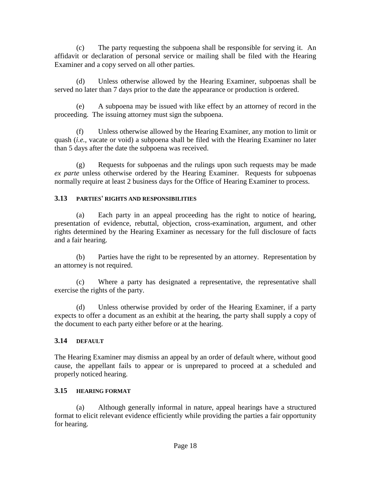(c) The party requesting the subpoena shall be responsible for serving it. An affidavit or declaration of personal service or mailing shall be filed with the Hearing Examiner and a copy served on all other parties.

(d) Unless otherwise allowed by the Hearing Examiner, subpoenas shall be served no later than 7 days prior to the date the appearance or production is ordered.

(e) A subpoena may be issued with like effect by an attorney of record in the proceeding. The issuing attorney must sign the subpoena.

(f) Unless otherwise allowed by the Hearing Examiner, any motion to limit or quash (*i.e.,* vacate or void) a subpoena shall be filed with the Hearing Examiner no later than 5 days after the date the subpoena was received.

(g) Requests for subpoenas and the rulings upon such requests may be made *ex parte* unless otherwise ordered by the Hearing Examiner. Requests for subpoenas normally require at least 2 business days for the Office of Hearing Examiner to process.

# **3.13 PARTIES' RIGHTS AND RESPONSIBILITIES**

(a) Each party in an appeal proceeding has the right to notice of hearing, presentation of evidence, rebuttal, objection, cross-examination, argument, and other rights determined by the Hearing Examiner as necessary for the full disclosure of facts and a fair hearing.

(b) Parties have the right to be represented by an attorney. Representation by an attorney is not required.

(c) Where a party has designated a representative, the representative shall exercise the rights of the party.

(d) Unless otherwise provided by order of the Hearing Examiner, if a party expects to offer a document as an exhibit at the hearing, the party shall supply a copy of the document to each party either before or at the hearing.

# **3.14 DEFAULT**

The Hearing Examiner may dismiss an appeal by an order of default where, without good cause, the appellant fails to appear or is unprepared to proceed at a scheduled and properly noticed hearing.

## **3.15 HEARING FORMAT**

(a) Although generally informal in nature, appeal hearings have a structured format to elicit relevant evidence efficiently while providing the parties a fair opportunity for hearing.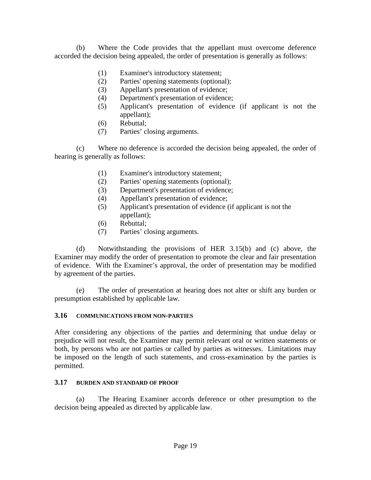(b) Where the Code provides that the appellant must overcome deference accorded the decision being appealed, the order of presentation is generally as follows:

- (1) Examiner's introductory statement;
- (2) Parties' opening statements (optional);
- (3) Appellant's presentation of evidence;
- (4) Department's presentation of evidence;
- (5) Applicant's presentation of evidence (if applicant is not the appellant);
- (6) Rebuttal;
- (7) Parties' closing arguments.

(c) Where no deference is accorded the decision being appealed, the order of hearing is generally as follows:

- (1) Examiner's introductory statement;
- (2) Parties' opening statements (optional);
- (3) Department's presentation of evidence;
- (4) Appellant's presentation of evidence;
- (5) Applicant's presentation of evidence (if applicant is not the appellant);
- (6) Rebuttal;
- (7) Parties' closing arguments.

(d) Notwithstanding the provisions of HER 3.15(b) and (c) above, the Examiner may modify the order of presentation to promote the clear and fair presentation of evidence. With the Examiner's approval, the order of presentation may be modified by agreement of the parties.

(e) The order of presentation at hearing does not alter or shift any burden or presumption established by applicable law.

# **3.16 COMMUNICATIONS FROM NON-PARTIES**

After considering any objections of the parties and determining that undue delay or prejudice will not result, the Examiner may permit relevant oral or written statements or both, by persons who are not parties or called by parties as witnesses. Limitations may be imposed on the length of such statements, and cross-examination by the parties is permitted.

# **3.17 BURDEN AND STANDARD OF PROOF**

(a) The Hearing Examiner accords deference or other presumption to the decision being appealed as directed by applicable law.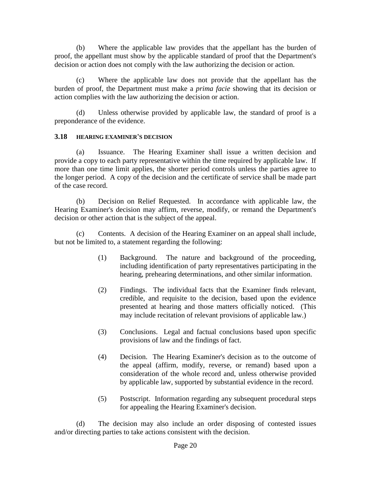(b) Where the applicable law provides that the appellant has the burden of proof, the appellant must show by the applicable standard of proof that the Department's decision or action does not comply with the law authorizing the decision or action.

(c) Where the applicable law does not provide that the appellant has the burden of proof, the Department must make a *prima facie* showing that its decision or action complies with the law authorizing the decision or action.

(d) Unless otherwise provided by applicable law, the standard of proof is a preponderance of the evidence.

## **3.18 HEARING EXAMINER'S DECISION**

(a) Issuance. The Hearing Examiner shall issue a written decision and provide a copy to each party representative within the time required by applicable law. If more than one time limit applies, the shorter period controls unless the parties agree to the longer period. A copy of the decision and the certificate of service shall be made part of the case record.

(b) Decision on Relief Requested. In accordance with applicable law, the Hearing Examiner's decision may affirm, reverse, modify, or remand the Department's decision or other action that is the subject of the appeal.

(c) Contents. A decision of the Hearing Examiner on an appeal shall include, but not be limited to, a statement regarding the following:

- (1) Background. The nature and background of the proceeding, including identification of party representatives participating in the hearing, prehearing determinations, and other similar information.
- (2) Findings. The individual facts that the Examiner finds relevant, credible, and requisite to the decision, based upon the evidence presented at hearing and those matters officially noticed. (This may include recitation of relevant provisions of applicable law.)
- (3) Conclusions. Legal and factual conclusions based upon specific provisions of law and the findings of fact.
- (4) Decision. The Hearing Examiner's decision as to the outcome of the appeal (affirm, modify, reverse, or remand) based upon a consideration of the whole record and, unless otherwise provided by applicable law, supported by substantial evidence in the record.
- (5) Postscript. Information regarding any subsequent procedural steps for appealing the Hearing Examiner's decision.

(d) The decision may also include an order disposing of contested issues and/or directing parties to take actions consistent with the decision.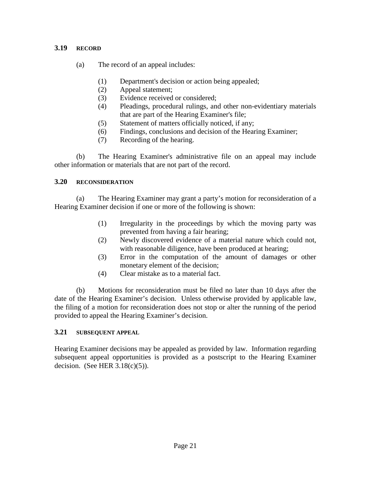### **3.19 RECORD**

- (a) The record of an appeal includes:
	- (1) Department's decision or action being appealed;
	- (2) Appeal statement;
	- (3) Evidence received or considered;
	- (4) Pleadings, procedural rulings, and other non-evidentiary materials that are part of the Hearing Examiner's file;
	- (5) Statement of matters officially noticed, if any;
	- (6) Findings, conclusions and decision of the Hearing Examiner;
	- (7) Recording of the hearing.

(b) The Hearing Examiner's administrative file on an appeal may include other information or materials that are not part of the record.

#### **3.20 RECONSIDERATION**

(a) The Hearing Examiner may grant a party's motion for reconsideration of a Hearing Examiner decision if one or more of the following is shown:

- (1) Irregularity in the proceedings by which the moving party was prevented from having a fair hearing;
- (2) Newly discovered evidence of a material nature which could not, with reasonable diligence, have been produced at hearing;
- (3) Error in the computation of the amount of damages or other monetary element of the decision;
- (4) Clear mistake as to a material fact.

(b) Motions for reconsideration must be filed no later than 10 days after the date of the Hearing Examiner's decision. Unless otherwise provided by applicable law, the filing of a motion for reconsideration does not stop or alter the running of the period provided to appeal the Hearing Examiner's decision.

#### **3.21 SUBSEQUENT APPEAL**

Hearing Examiner decisions may be appealed as provided by law. Information regarding subsequent appeal opportunities is provided as a postscript to the Hearing Examiner decision. (See HER  $3.18(c)(5)$ ).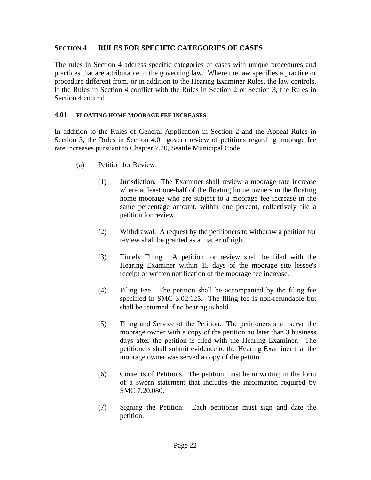## **SECTION 4 RULES FOR SPECIFIC CATEGORIES OF CASES**

The rules in Section 4 address specific categories of cases with unique procedures and practices that are attributable to the governing law. Where the law specifies a practice or procedure different from, or in addition to the Hearing Examiner Rules, the law controls. If the Rules in Section 4 conflict with the Rules in Section 2 or Section 3, the Rules in Section 4 control.

#### **4.01 FLOATING HOME MOORAGE FEE INCREASES**

In addition to the Rules of General Application in Section 2 and the Appeal Rules in Section 3, the Rules in Section 4.01 govern review of petitions regarding moorage fee rate increases pursuant to Chapter 7.20, Seattle Municipal Code.

- (a) Petition for Review:
	- (1) Jurisdiction. The Examiner shall review a moorage rate increase where at least one-half of the floating home owners in the floating home moorage who are subject to a moorage fee increase in the same percentage amount, within one percent, collectively file a petition for review.
	- (2) Withdrawal. A request by the petitioners to withdraw a petition for review shall be granted as a matter of right.
	- (3) Timely Filing. A petition for review shall be filed with the Hearing Examiner within 15 days of the moorage site lessee's receipt of written notification of the moorage fee increase.
	- (4) Filing Fee. The petition shall be accompanied by the filing fee specified in SMC 3.02.125. The filing fee is non-refundable but shall be returned if no hearing is held.
	- (5) Filing and Service of the Petition. The petitioners shall serve the moorage owner with a copy of the petition no later than 3 business days after the petition is filed with the Hearing Examiner. The petitioners shall submit evidence to the Hearing Examiner that the moorage owner was served a copy of the petition.
	- (6) Contents of Petitions. The petition must be in writing in the form of a sworn statement that includes the information required by SMC 7.20.080.
	- (7) Signing the Petition. Each petitioner must sign and date the petition.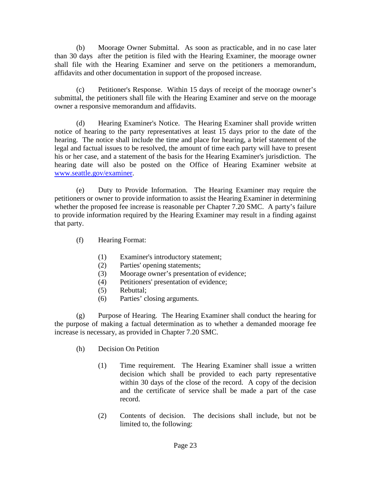(b) Moorage Owner Submittal. As soon as practicable, and in no case later than 30 days after the petition is filed with the Hearing Examiner, the moorage owner shall file with the Hearing Examiner and serve on the petitioners a memorandum, affidavits and other documentation in support of the proposed increase.

(c) Petitioner's Response. Within 15 days of receipt of the moorage owner's submittal, the petitioners shall file with the Hearing Examiner and serve on the moorage owner a responsive memorandum and affidavits.

(d) Hearing Examiner's Notice. The Hearing Examiner shall provide written notice of hearing to the party representatives at least 15 days prior to the date of the hearing. The notice shall include the time and place for hearing, a brief statement of the legal and factual issues to be resolved, the amount of time each party will have to present his or her case, and a statement of the basis for the Hearing Examiner's jurisdiction. The hearing date will also be posted on the Office of Hearing Examiner website at [www.seattle.gov/examiner.](http://www.seattle.gov/examiner)

(e) Duty to Provide Information. The Hearing Examiner may require the petitioners or owner to provide information to assist the Hearing Examiner in determining whether the proposed fee increase is reasonable per Chapter 7.20 SMC. A party's failure to provide information required by the Hearing Examiner may result in a finding against that party.

- (f) Hearing Format:
	- (1) Examiner's introductory statement;
	- (2) Parties' opening statements;
	- (3) Moorage owner's presentation of evidence;
	- (4) Petitioners' presentation of evidence;
	- (5) Rebuttal;
	- (6) Parties' closing arguments.

(g) Purpose of Hearing. The Hearing Examiner shall conduct the hearing for the purpose of making a factual determination as to whether a demanded moorage fee increase is necessary, as provided in Chapter 7.20 SMC.

- (h) Decision On Petition
	- (1) Time requirement. The Hearing Examiner shall issue a written decision which shall be provided to each party representative within 30 days of the close of the record. A copy of the decision and the certificate of service shall be made a part of the case record.
	- (2) Contents of decision. The decisions shall include, but not be limited to, the following: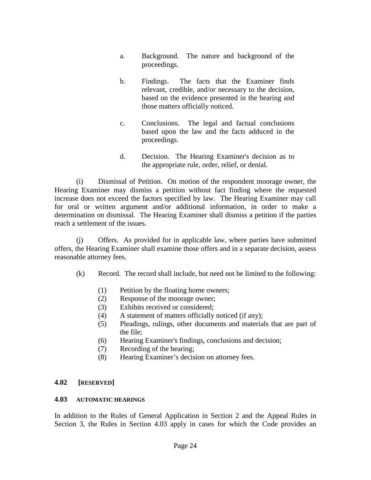- a. Background. The nature and background of the proceedings.
- b. Findings. The facts that the Examiner finds relevant, credible, and/or necessary to the decision, based on the evidence presented in the hearing and those matters officially noticed.
- c. Conclusions. The legal and factual conclusions based upon the law and the facts adduced in the proceedings.
- d. Decision. The Hearing Examiner's decision as to the appropriate rule, order, relief, or denial.

(i) Dismissal of Petition. On motion of the respondent moorage owner, the Hearing Examiner may dismiss a petition without fact finding where the requested increase does not exceed the factors specified by law. The Hearing Examiner may call for oral or written argument and/or additional information, in order to make a determination on dismissal. The Hearing Examiner shall dismiss a petition if the parties reach a settlement of the issues.

(j) Offers. As provided for in applicable law, where parties have submitted offers, the Hearing Examiner shall examine those offers and in a separate decision, assess reasonable attorney fees.

- (k) Record. The record shall include, but need not be limited to the following:
	- (1) Petition by the floating home owners;
	- (2) Response of the moorage owner;
	- (3) Exhibits received or considered;
	- (4) A statement of matters officially noticed (if any);
	- (5) Pleadings, rulings, other documents and materials that are part of the file;
	- (6) Hearing Examiner's findings, conclusions and decision;
	- (7) Recording of the hearing;
	- (8) Hearing Examiner's decision on attorney fees.

## **4.02 [RESERVED]**

#### **4.03 AUTOMATIC HEARINGS**

In addition to the Rules of General Application in Section 2 and the Appeal Rules in Section 3, the Rules in Section 4.03 apply in cases for which the Code provides an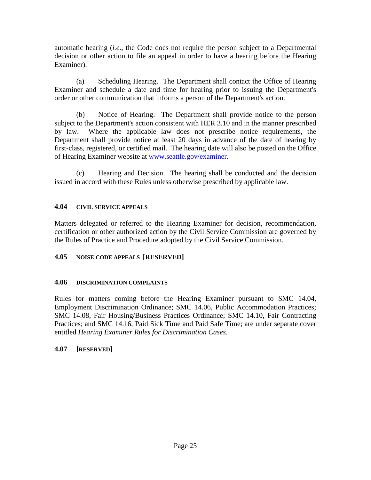automatic hearing (*i.e*., the Code does not require the person subject to a Departmental decision or other action to file an appeal in order to have a hearing before the Hearing Examiner).

(a) Scheduling Hearing. The Department shall contact the Office of Hearing Examiner and schedule a date and time for hearing prior to issuing the Department's order or other communication that informs a person of the Department's action.

(b) Notice of Hearing. The Department shall provide notice to the person subject to the Department's action consistent with HER 3.10 and in the manner prescribed by law. Where the applicable law does not prescribe notice requirements, the Department shall provide notice at least 20 days in advance of the date of hearing by first-class, registered, or certified mail. The hearing date will also be posted on the Office of Hearing Examiner website at [www.seattle.gov/examiner.](http://www.seattle.gov/examiner)

(c) Hearing and Decision. The hearing shall be conducted and the decision issued in accord with these Rules unless otherwise prescribed by applicable law.

# **4.04 CIVIL SERVICE APPEALS**

Matters delegated or referred to the Hearing Examiner for decision, recommendation, certification or other authorized action by the Civil Service Commission are governed by the Rules of Practice and Procedure adopted by the Civil Service Commission.

# **4.05 NOISE CODE APPEALS [RESERVED]**

## **4.06 DISCRIMINATION COMPLAINTS**

Rules for matters coming before the Hearing Examiner pursuant to SMC 14.04, Employment Discrimination Ordinance; SMC 14.06, Public Accommodation Practices; SMC 14.08, Fair Housing/Business Practices Ordinance; SMC 14.10, Fair Contracting Practices; and SMC 14.16, Paid Sick Time and Paid Safe Time; are under separate cover entitled *Hearing Examiner Rules for Discrimination Cases*.

# **4.07 [RESERVED]**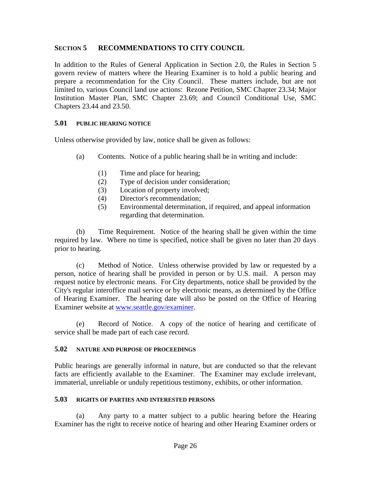# **SECTION 5 RECOMMENDATIONS TO CITY COUNCIL**

In addition to the Rules of General Application in Section 2.0, the Rules in Section 5 govern review of matters where the Hearing Examiner is to hold a public hearing and prepare a recommendation for the City Council. These matters include, but are not limited to, various Council land use actions: Rezone Petition, SMC Chapter 23.34; Major Institution Master Plan, SMC Chapter 23.69; and Council Conditional Use, SMC Chapters 23.44 and 23.50.

### **5.01 PUBLIC HEARING NOTICE**

Unless otherwise provided by law, notice shall be given as follows:

- (a) Contents. Notice of a public hearing shall be in writing and include:
	- (1) Time and place for hearing;
	- (2) Type of decision under consideration;
	- (3) Location of property involved;
	- (4) Director's recommendation;
	- (5) Environmental determination, if required, and appeal information regarding that determination.

(b) Time Requirement. Notice of the hearing shall be given within the time required by law. Where no time is specified, notice shall be given no later than 20 days prior to hearing.

(c) Method of Notice. Unless otherwise provided by law or requested by a person, notice of hearing shall be provided in person or by U.S. mail. A person may request notice by electronic means. For City departments, notice shall be provided by the City's regular interoffice mail service or by electronic means, as determined by the Office of Hearing Examiner. The hearing date will also be posted on the Office of Hearing Examiner website at [www.seattle.gov/examiner.](http://www.seattle.gov/examiner)

(e) Record of Notice. A copy of the notice of hearing and certificate of service shall be made part of each case record.

#### **5.02 NATURE AND PURPOSE OF PROCEEDINGS**

Public hearings are generally informal in nature, but are conducted so that the relevant facts are efficiently available to the Examiner. The Examiner may exclude irrelevant, immaterial, unreliable or unduly repetitious testimony, exhibits, or other information.

#### **5.03 RIGHTS OF PARTIES AND INTERESTED PERSONS**

(a) Any party to a matter subject to a public hearing before the Hearing Examiner has the right to receive notice of hearing and other Hearing Examiner orders or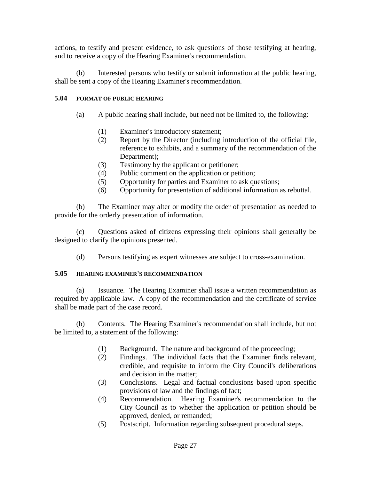actions, to testify and present evidence, to ask questions of those testifying at hearing, and to receive a copy of the Hearing Examiner's recommendation.

(b) Interested persons who testify or submit information at the public hearing, shall be sent a copy of the Hearing Examiner's recommendation.

# **5.04 FORMAT OF PUBLIC HEARING**

- (a) A public hearing shall include, but need not be limited to, the following:
	- (1) Examiner's introductory statement;
	- (2) Report by the Director (including introduction of the official file, reference to exhibits, and a summary of the recommendation of the Department);
	- (3) Testimony by the applicant or petitioner;
	- (4) Public comment on the application or petition;
	- (5) Opportunity for parties and Examiner to ask questions;
	- (6) Opportunity for presentation of additional information as rebuttal.

(b) The Examiner may alter or modify the order of presentation as needed to provide for the orderly presentation of information.

(c) Questions asked of citizens expressing their opinions shall generally be designed to clarify the opinions presented.

(d) Persons testifying as expert witnesses are subject to cross-examination.

## **5.05 HEARING EXAMINER'S RECOMMENDATION**

(a) Issuance. The Hearing Examiner shall issue a written recommendation as required by applicable law. A copy of the recommendation and the certificate of service shall be made part of the case record.

(b) Contents. The Hearing Examiner's recommendation shall include, but not be limited to, a statement of the following:

- (1) Background. The nature and background of the proceeding;
- (2) Findings. The individual facts that the Examiner finds relevant, credible, and requisite to inform the City Council's deliberations and decision in the matter;
- (3) Conclusions. Legal and factual conclusions based upon specific provisions of law and the findings of fact;
- (4) Recommendation. Hearing Examiner's recommendation to the City Council as to whether the application or petition should be approved, denied, or remanded;
- (5) Postscript. Information regarding subsequent procedural steps.